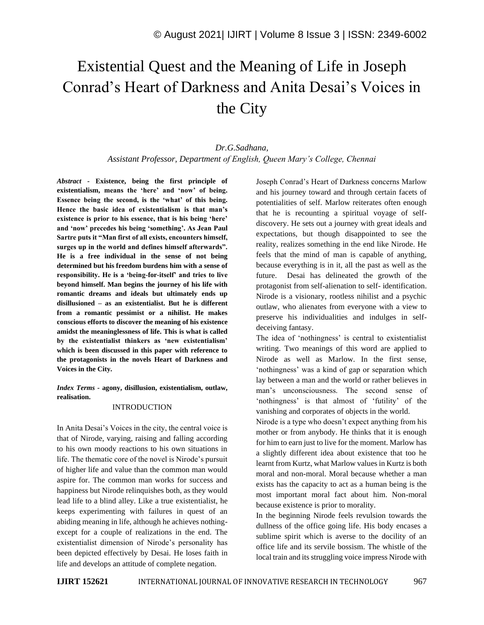# Existential Quest and the Meaning of Life in Joseph Conrad's Heart of Darkness and Anita Desai's Voices in the City

### *Dr.G.Sadhana, Assistant Professor, Department of English, Queen Mary's College, Chennai*

*Abstract -* **Existence, being the first principle of existentialism, means the 'here' and 'now' of being. Essence being the second, is the 'what' of this being. Hence the basic idea of existentialism is that man's existence is prior to his essence, that is his being 'here' and 'now' precedes his being 'something'. As Jean Paul Sartre puts it "Man first of all exists, encounters himself, surges up in the world and defines himself afterwards". He is a free individual in the sense of not being determined but his freedom burdens him with a sense of responsibility. He is a 'being-for-itself' and tries to live beyond himself. Man begins the journey of his life with romantic dreams and ideals but ultimately ends up disillusioned – as an existentialist. But he is different from a romantic pessimist or a nihilist. He makes conscious efforts to discover the meaning of his existence amidst the meaninglessness of life. This is what is called by the existentialist thinkers as 'new existentialism' which is been discussed in this paper with reference to the protagonists in the novels Heart of Darkness and Voices in the City.**

*Index Terms -* **agony, disillusion, existentialism, outlaw, realisation.**

#### INTRODUCTION

In Anita Desai's Voices in the city, the central voice is that of Nirode, varying, raising and falling according to his own moody reactions to his own situations in life. The thematic core of the novel is Nirode's pursuit of higher life and value than the common man would aspire for. The common man works for success and happiness but Nirode relinquishes both, as they would lead life to a blind alley. Like a true existentialist, he keeps experimenting with failures in quest of an abiding meaning in life, although he achieves nothingexcept for a couple of realizations in the end. The existentialist dimension of Nirode's personality has been depicted effectively by Desai. He loses faith in life and develops an attitude of complete negation.

Joseph Conrad's Heart of Darkness concerns Marlow and his journey toward and through certain facets of potentialities of self. Marlow reiterates often enough that he is recounting a spiritual voyage of selfdiscovery. He sets out a journey with great ideals and expectations, but though disappointed to see the reality, realizes something in the end like Nirode. He feels that the mind of man is capable of anything, because everything is in it, all the past as well as the future. Desai has delineated the growth of the protagonist from self-alienation to self- identification. Nirode is a visionary, rootless nihilist and a psychic outlaw, who alienates from everyone with a view to preserve his individualities and indulges in selfdeceiving fantasy.

The idea of 'nothingness' is central to existentialist writing. Two meanings of this word are applied to Nirode as well as Marlow. In the first sense, 'nothingness' was a kind of gap or separation which lay between a man and the world or rather believes in man's unconsciousness. The second sense of 'nothingness' is that almost of 'futility' of the vanishing and corporates of objects in the world.

Nirode is a type who doesn't expect anything from his mother or from anybody. He thinks that it is enough for him to earn just to live for the moment. Marlow has a slightly different idea about existence that too he learnt from Kurtz, what Marlow values in Kurtz is both moral and non-moral. Moral because whether a man exists has the capacity to act as a human being is the most important moral fact about him. Non-moral because existence is prior to morality.

In the beginning Nirode feels revulsion towards the dullness of the office going life. His body encases a sublime spirit which is averse to the docility of an office life and its servile bossism. The whistle of the local train and its struggling voice impress Nirode with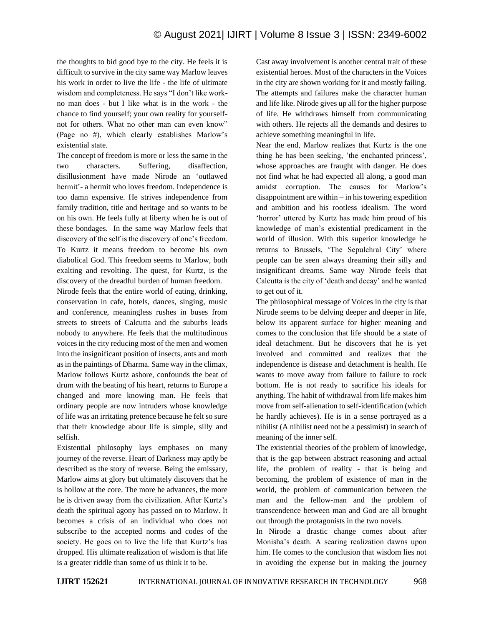## © August 2021| IJIRT | Volume 8 Issue 3 | ISSN: 2349-6002

the thoughts to bid good bye to the city. He feels it is difficult to survive in the city same way Marlow leaves his work in order to live the life - the life of ultimate wisdom and completeness. He says "I don't like workno man does - but I like what is in the work - the chance to find yourself; your own reality for yourselfnot for others. What no other man can even know" (Page no #), which clearly establishes Marlow's existential state.

The concept of freedom is more or less the same in the two characters. Suffering, disaffection, disillusionment have made Nirode an 'outlawed hermit'- a hermit who loves freedom. Independence is too damn expensive. He strives independence from family tradition, title and heritage and so wants to be on his own. He feels fully at liberty when he is out of these bondages. In the same way Marlow feels that discovery of the self is the discovery of one's freedom. To Kurtz it means freedom to become his own diabolical God. This freedom seems to Marlow, both exalting and revolting. The quest, for Kurtz, is the discovery of the dreadful burden of human freedom.

Nirode feels that the entire world of eating, drinking, conservation in cafe, hotels, dances, singing, music and conference, meaningless rushes in buses from streets to streets of Calcutta and the suburbs leads nobody to anywhere. He feels that the multitudinous voices in the city reducing most of the men and women into the insignificant position of insects, ants and moth as in the paintings of Dharma. Same way in the climax, Marlow follows Kurtz ashore, confounds the beat of drum with the beating of his heart, returns to Europe a changed and more knowing man. He feels that ordinary people are now intruders whose knowledge of life was an irritating pretence because he felt so sure that their knowledge about life is simple, silly and selfish.

Existential philosophy lays emphases on many journey of the reverse. Heart of Darkness may aptly be described as the story of reverse. Being the emissary, Marlow aims at glory but ultimately discovers that he is hollow at the core. The more he advances, the more he is driven away from the civilization. After Kurtz's death the spiritual agony has passed on to Marlow. It becomes a crisis of an individual who does not subscribe to the accepted norms and codes of the society. He goes on to live the life that Kurtz's has dropped. His ultimate realization of wisdom is that life is a greater riddle than some of us think it to be.

Cast away involvement is another central trait of these existential heroes. Most of the characters in the Voices in the city are shown working for it and mostly failing. The attempts and failures make the character human and life like. Nirode gives up all for the higher purpose of life. He withdraws himself from communicating with others. He rejects all the demands and desires to achieve something meaningful in life.

Near the end, Marlow realizes that Kurtz is the one thing he has been seeking, 'the enchanted princess', whose approaches are fraught with danger. He does not find what he had expected all along, a good man amidst corruption. The causes for Marlow's disappointment are within – in his towering expedition and ambition and his rootless idealism. The word 'horror' uttered by Kurtz has made him proud of his knowledge of man's existential predicament in the world of illusion. With this superior knowledge he returns to Brussels, 'The Sepulchral City' where people can be seen always dreaming their silly and insignificant dreams. Same way Nirode feels that Calcutta is the city of 'death and decay' and he wanted to get out of it.

The philosophical message of Voices in the city is that Nirode seems to be delving deeper and deeper in life, below its apparent surface for higher meaning and comes to the conclusion that life should be a state of ideal detachment. But he discovers that he is yet involved and committed and realizes that the independence is disease and detachment is health. He wants to move away from failure to failure to rock bottom. He is not ready to sacrifice his ideals for anything. The habit of withdrawal from life makes him move from self-alienation to self-identification (which he hardly achieves). He is in a sense portrayed as a nihilist (A nihilist need not be a pessimist) in search of meaning of the inner self.

The existential theories of the problem of knowledge, that is the gap between abstract reasoning and actual life, the problem of reality - that is being and becoming, the problem of existence of man in the world, the problem of communication between the man and the fellow-man and the problem of transcendence between man and God are all brought out through the protagonists in the two novels.

In Nirode a drastic change comes about after Monisha's death. A searing realization dawns upon him. He comes to the conclusion that wisdom lies not in avoiding the expense but in making the journey